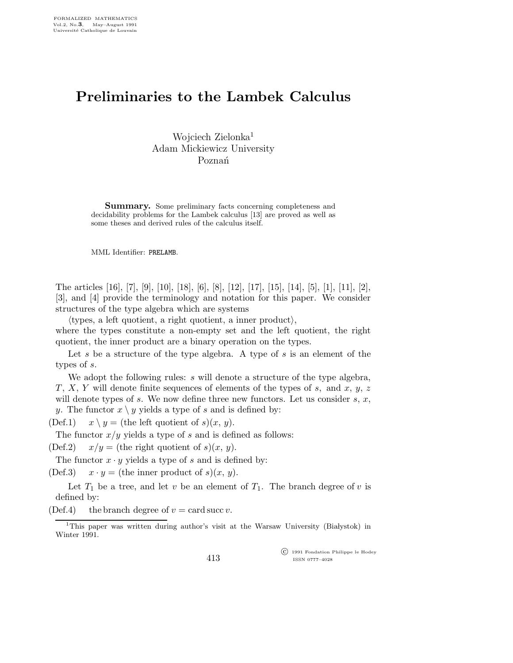## Preliminaries to the Lambek Calculus

Wojciech Zielonka<sup>1</sup> Adam Mickiewicz University Poznań

Summary. Some preliminary facts concerning completeness and decidability problems for the Lambek calculus [13] are proved as well as some theses and derived rules of the calculus itself.

MML Identifier: PRELAMB.

The articles [16], [7], [9], [10], [18], [6], [8], [12], [17], [15], [14], [5], [1], [11], [2], [3], and [4] provide the terminology and notation for this paper. We consider structures of the type algebra which are systems

 $\langle$ types, a left quotient, a right quotient, a inner product $\rangle$ ,

where the types constitute a non-empty set and the left quotient, the right quotient, the inner product are a binary operation on the types.

Let s be a structure of the type algebra. A type of s is an element of the types of s.

We adopt the following rules: s will denote a structure of the type algebra,  $T, X, Y$  will denote finite sequences of elements of the types of s, and x, y, z will denote types of s. We now define three new functors. Let us consider s,  $x$ , y. The functor  $x \setminus y$  yields a type of s and is defined by:

(Def.1)  $x \backslash y =$  (the left quotient of s) $(x, y)$ .

The functor  $x/y$  yields a type of s and is defined as follows:

(Def.2)  $x/y =$  (the right quotient of s) $(x, y)$ .

The functor  $x \cdot y$  yields a type of s and is defined by:

(Def.3)  $x \cdot y =$  (the inner product of s) $(x, y)$ .

Let  $T_1$  be a tree, and let v be an element of  $T_1$ . The branch degree of v is defined by:

(Def.4) the branch degree of  $v = \text{card} \, \text{succ} \, v$ .

 c 1991 Fondation Philippe le Hodey ISSN 0777–4028

<sup>&</sup>lt;sup>1</sup>This paper was written during author's visit at the Warsaw University (Białystok) in Winter 1991.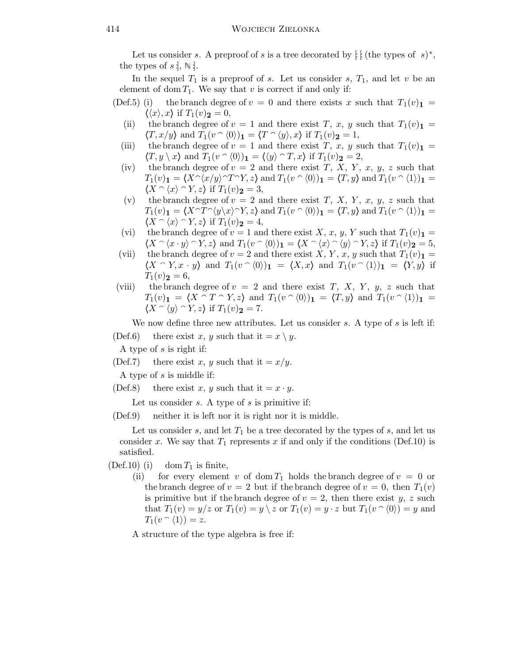Let us consider s. A preproof of s is a tree decorated by  $\int$  [: (the types of s)<sup>\*</sup>, the types of  $s$  ;  $\mathbb{N}$  .

In the sequel  $T_1$  is a preproof of s. Let us consider s,  $T_1$ , and let v be an element of dom  $T_1$ . We say that v is correct if and only if:

- (Def.5) (i) the branch degree of  $v = 0$  and there exists x such that  $T_1(v)$  =  $\langle \langle x \rangle, x \rangle$  if  $T_1(v)$ **2** = 0,
	- (ii) the branch degree of  $v = 1$  and there exist T, x, y such that  $T_1(v)$ <sub>1</sub> =  $\langle T, x/y \rangle$  and  $T_1(v \cap \langle 0 \rangle)$ <sub>1</sub> =  $\langle T \cap \langle y \rangle, x \rangle$  if  $T_1(v)$ <sub>2</sub> = 1,
	- (iii) the branch degree of  $v = 1$  and there exist T, x, y such that  $T_1(v)$  =  $\langle T, y \rangle x$  and  $T_1(v \cap \langle 0 \rangle)_1 = \langle \langle y \rangle \cap T, x \rangle$  if  $T_1(v)_2 = 2$ ,
	- (iv) the branch degree of  $v = 2$  and there exist T, X, Y, x, y, z such that  $T_1(v)_1 = \langle X \hat{ } \langle x/y \rangle \hat{ } \hat{} T \hat{ } \hat{ } \rangle$  and  $T_1(v \hat{ } \langle 0 \rangle)_1 = \langle T, y \rangle$  and  $T_1(v \hat{ } \langle 1 \rangle)_1 =$  $\langle X \cap \langle x \rangle \cap Y, z \rangle$  if  $T_1(v)_2 = 3$ ,
	- (v) the branch degree of  $v = 2$  and there exist T, X, Y, x, y, z such that  $T_1(v)_1 = \langle X \cap T \cap \langle y \rangle x \rangle \cap Y, z$  and  $T_1(v \cap \langle 0 \rangle)_1 = \langle T, y \rangle$  and  $T_1(v \cap \langle 1 \rangle)_1 =$  $\langle X \cap \langle x \rangle \cap Y, z \rangle$  if  $T_1(v)_2 = 4$ ,
	- (vi) the branch degree of  $v = 1$  and there exist X, x, y, Y such that  $T_1(v)$  =  $\langle X \cap \langle x \cdot y \rangle \cap Y, z \rangle$  and  $T_1(v \cap \langle 0 \rangle)_1 = \langle X \cap \langle x \rangle \cap \langle y \rangle \cap Y, z \rangle$  if  $T_1(v)_2 = 5$ ,
	- (vii) the branch degree of  $v = 2$  and there exist X, Y, x, y such that  $T_1(v)$  =  $\langle X \cap Y, x \cdot y \rangle$  and  $T_1(v \cap \langle 0 \rangle)_1 = \langle X, x \rangle$  and  $T_1(v \cap \langle 1 \rangle)_1 = \langle Y, y \rangle$  if  $T_1(v)_2 = 6,$
- (viii) the branch degree of  $v = 2$  and there exist T, X, Y, y, z such that  $T_1(v)_1 = \langle X \cap T \cap Y, z \rangle$  and  $T_1(v \cap \langle 0 \rangle)_1 = \langle T, y \rangle$  and  $T_1(v \cap \langle 1 \rangle)_1 =$  $\langle X \cap \langle y \rangle \cap Y, z \rangle$  if  $T_1(v)_2 = 7$ .

We now define three new attributes. Let us consider  $s$ . A type of  $s$  is left if:

(Def.6) there exist x, y such that it  $= x \setminus y$ .

A type of s is right if:

(Def.7) there exist x, y such that it  $= x/y$ .

A type of s is middle if:

(Def.8) there exist x, y such that it  $=x \cdot y$ .

Let us consider  $s$ . A type of  $s$  is primitive if:

(Def.9) neither it is left nor it is right nor it is middle.

Let us consider  $s$ , and let  $T_1$  be a tree decorated by the types of  $s$ , and let us consider x. We say that  $T_1$  represents x if and only if the conditions (Def.10) is satisfied.

(Def.10) (i) dom  $T_1$  is finite,

(ii) for every element v of dom  $T_1$  holds the branch degree of  $v = 0$  or the branch degree of  $v = 2$  but if the branch degree of  $v = 0$ , then  $T_1(v)$ is primitive but if the branch degree of  $v = 2$ , then there exist y, z such that  $T_1(v) = y/z$  or  $T_1(v) = y \setminus z$  or  $T_1(v) = y \cdot z$  but  $T_1(v \cap \langle 0 \rangle) = y$  and  $T_1(v \cap \langle 1 \rangle) = z.$ 

A structure of the type algebra is free if: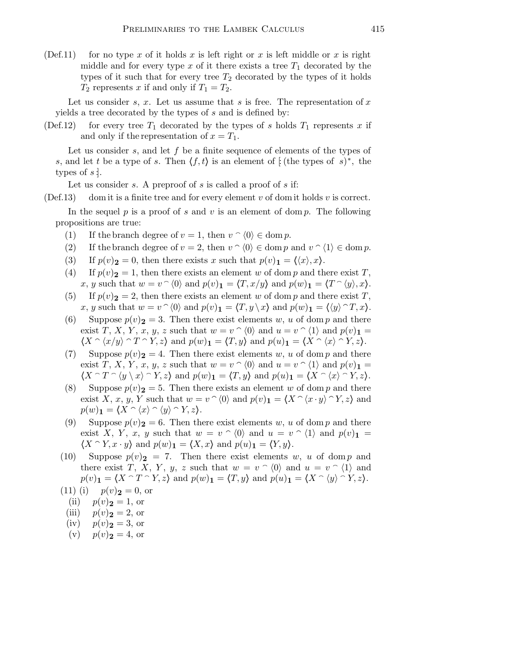(Def.11) for no type x of it holds x is left right or x is left middle or x is right middle and for every type x of it there exists a tree  $T_1$  decorated by the types of it such that for every tree  $T_2$  decorated by the types of it holds  $T_2$  represents x if and only if  $T_1 = T_2$ .

Let us consider s, x. Let us assume that s is free. The representation of x yields a tree decorated by the types of s and is defined by:

(Def.12) for every tree  $T_1$  decorated by the types of s holds  $T_1$  represents x if and only if the representation of  $x = T_1$ .

Let us consider s, and let f be a finite sequence of elements of the types of s, and let t be a type of s. Then  $\langle f, t \rangle$  is an element of  $\int$  (the types of s)<sup>\*</sup>, the types of  $s$ :

Let us consider s. A preproof of s is called a proof of s if:

(Def.13) dom it is a finite tree and for every element  $v$  of dom it holds  $v$  is correct.

In the sequel p is a proof of s and v is an element of dom p. The following propositions are true:

- (1) If the branch degree of  $v = 1$ , then  $v \cap (0) \in \text{dom } p$ .
- (2) If the branch degree of  $v = 2$ , then  $v \cap (0) \in \text{dom } p$  and  $v \cap (1) \in \text{dom } p$ .
- (3) If  $p(v)_2 = 0$ , then there exists x such that  $p(v)_1 = \langle \langle x \rangle, x \rangle$ .
- (4) If  $p(v)_2 = 1$ , then there exists an element w of dom p and there exist T, x, y such that  $w = v^{\frown} \langle 0 \rangle$  and  $p(v)_1 = \langle T, x/y \rangle$  and  $p(w)_1 = \langle T \cap \langle y \rangle, x \rangle$ .
- (5) If  $p(v)_2 = 2$ , then there exists an element w of dom p and there exist T, x, y such that  $w = v \hat{\ } \langle 0 \rangle$  and  $p(v)_1 = \langle T, y \rangle x$  and  $p(w)_1 = \langle \langle y \rangle \hat{\ } T, x \rangle$ .
- (6) Suppose  $p(v)_2 = 3$ . Then there exist elements w, u of dom p and there exist T, X, Y, x, y, z such that  $w = v \,\hat{\otimes}\, \langle 0 \rangle$  and  $u = v \,\hat{\otimes}\, \langle 1 \rangle$  and  $p(v)_1 =$  $\langle X \cap \langle x/y \rangle \cap T \cap Y, z \rangle$  and  $p(w)_{\mathbf{1}} = \langle T, y \rangle$  and  $p(u)_{\mathbf{1}} = \langle X \cap \langle x \rangle \cap Y, z \rangle$ .
- (7) Suppose  $p(v)_2 = 4$ . Then there exist elements w, u of dom p and there exist T, X, Y, x, y, z such that  $w = v \n\hat{\hspace{0.2cm}} \langle 0 \rangle$  and  $u = v \n\hat{\hspace{0.2cm}} \langle 1 \rangle$  and  $p(v)$ <sub>1</sub> =  $\langle X \cap T \cap \langle y \setminus x \rangle \cap Y, z \rangle$  and  $p(w)_{\mathbf{1}} = \langle T, y \rangle$  and  $p(u)_{\mathbf{1}} = \langle X \cap \langle x \rangle \cap Y, z \rangle$ .
- (8) Suppose  $p(v)_2 = 5$ . Then there exists an element w of dom p and there exist X, x, y, Y such that  $w = v^{\frown} \langle 0 \rangle$  and  $p(v)$ <sub>1</sub> =  $\langle X^{\frown} \langle x \cdot y \rangle^{\frown} Y, z \rangle$  and  $p(w)$ <sub>1</sub> =  $\langle X \cap \langle x \rangle \cap \langle y \rangle \cap Y, z$ .
- (9) Suppose  $p(v)_2 = 6$ . Then there exist elements w, u of dom p and there exist X, Y, x, y such that  $w = v \circ (0)$  and  $u = v \circ (1)$  and  $p(v)_1 =$  $\langle X \cap Y, x \cdot y \rangle$  and  $p(w)$ <sub>1</sub> =  $\langle X, x \rangle$  and  $p(u)$ <sub>1</sub> =  $\langle Y, y \rangle$ .
- (10) Suppose  $p(v)_2 = 7$ . Then there exist elements w, u of dom p and there exist T, X, Y, y, z such that  $w = v \n\hat{\hspace{0.2cm}}(0)$  and  $u = v \n\hat{\hspace{0.2cm}}(1)$  and  $p(v)_1 = \langle X \cap T \cap Y, z \rangle$  and  $p(w)_1 = \langle T, y \rangle$  and  $p(u)_1 = \langle X \cap \langle y \rangle \cap Y, z \rangle$ .

(11) (i)  $p(v)_2 = 0$ , or

- (ii)  $p(v)_2 = 1$ , or
- (iii)  $p(v)_2 = 2$ , or
- (iv)  $p(v)_2 = 3$ , or
- (v)  $p(v)_2 = 4$ , or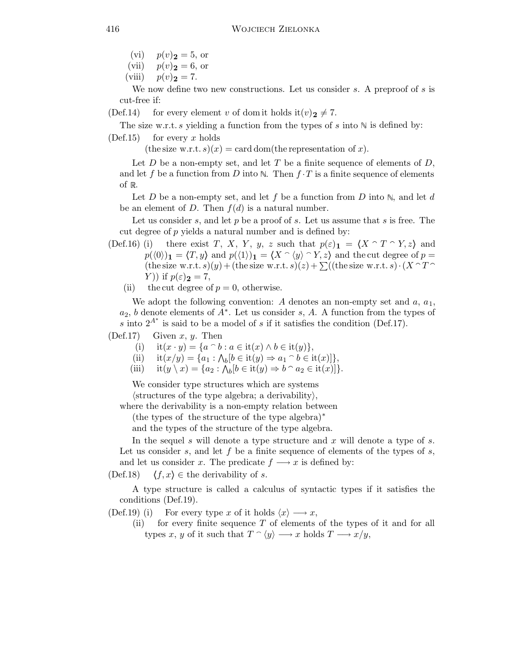- (vi)  $p(v)_2 = 5$ , or
- (vii)  $p(v)\mathbf{2} = 6$ , or
- (viii)  $p(v)_{2} = 7$ .

We now define two new constructions. Let us consider s. A preproof of s is cut-free if:

(Def.14) for every element v of dom it holds it  $(v)_2 \neq 7$ .

The size w.r.t. s yielding a function from the types of s into  $\mathbb N$  is defined by:

 $(Def.15)$  for every x holds

(the size w.r.t.  $s)(x) = \text{card dom}(\text{the representation of } x).$ 

Let  $D$  be a non-empty set, and let  $T$  be a finite sequence of elements of  $D$ , and let f be a function from D into  $\mathbb N$ . Then  $f \cdot T$  is a finite sequence of elements of  $\mathbb R$ .

Let D be a non-empty set, and let f be a function from D into  $\mathbb{N}$ , and let d be an element of D. Then  $f(d)$  is a natural number.

Let us consider  $s$ , and let  $p$  be a proof of  $s$ . Let us assume that  $s$  is free. The cut degree of p yields a natural number and is defined by:

- (Def.16) (i) there exist T, X, Y, y, z such that  $p(\varepsilon)_1 = \langle X \cap T \cap Y, z \rangle$  and  $p(\langle 0 \rangle)_1 = \langle T, y \rangle$  and  $p(\langle 1 \rangle)_1 = \langle X \cap \langle y \rangle \cap Y, z \rangle$  and the cut degree of  $p =$ (the size w.r.t. s)(y) + (the size w.r.t. s)(z) +  $\sum$ ((the size w.r.t. s) $\cdot$ (X  $\cap$  T Y)) if  $p(\varepsilon)_2 = 7$ ,
	- (ii) the cut degree of  $p = 0$ , otherwise.

We adopt the following convention: A denotes an non-empty set and  $a, a_1$ ,  $a_2$ , b denote elements of  $\overrightarrow{A^*}$ . Let us consider s, A. A function from the types of s into  $2^{A^*}$  is said to be a model of s if it satisfies the condition (Def.17).

 $(Def.17)$  Given x, y. Then

- (i) it $(x \cdot y) = \{a \cap b : a \in \text{it}(x) \land b \in \text{it}(y)\},\$
- (ii)  $\text{it}(x/y) = \{a_1 : \Lambda_b | b \in \text{it}(y) \Rightarrow a_1 \cap b \in \text{it}(x) ]\},\$
- (iii)  $\text{it}(y \setminus x) = \{a_2 : \bigwedge_b [b \in \text{it}(y) \Rightarrow b \cap a_2 \in \text{it}(x)]\}.$

We consider type structures which are systems

 $\langle$ structures of the type algebra; a derivability $\rangle$ ,

where the derivability is a non-empty relation between

(the types of the structure of the type algebra)<sup>∗</sup>

and the types of the structure of the type algebra.

In the sequel s will denote a type structure and  $x$  will denote a type of s. Let us consider  $s$ , and let  $f$  be a finite sequence of elements of the types of  $s$ , and let us consider x. The predicate  $f \rightarrow x$  is defined by:

(Def.18)  $\langle f, x \rangle \in$  the derivability of s.

A type structure is called a calculus of syntactic types if it satisfies the conditions (Def.19).

- (Def.19) (i) For every type x of it holds  $\langle x \rangle \longrightarrow x$ ,
	- (ii) for every finite sequence T of elements of the types of it and for all types x, y of it such that  $T \nightharpoonup \langle y \rangle \longrightarrow x$  holds  $T \longrightarrow x/y$ ,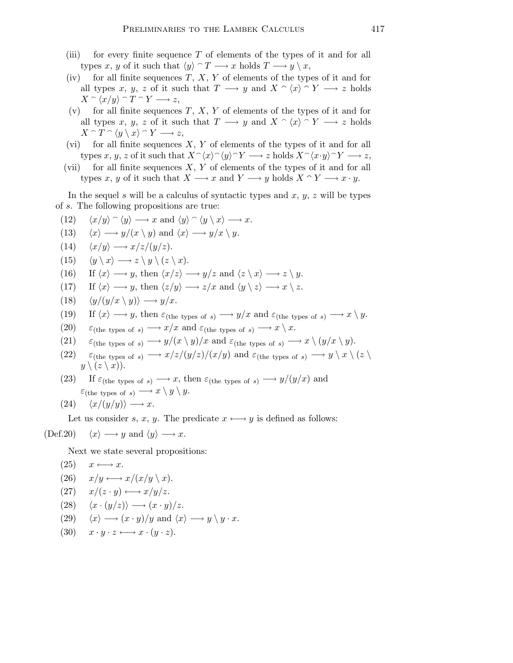- (iii) for every finite sequence  $T$  of elements of the types of it and for all types x, y of it such that  $\langle y \rangle \cap T \longrightarrow x$  holds  $T \longrightarrow y \setminus x$ ,
- (iv) for all finite sequences  $T, X, Y$  of elements of the types of it and for all types x, y, z of it such that  $T \longrightarrow y$  and  $X \cap \langle x \rangle \cap Y \longrightarrow z$  holds  $X \cap \langle x/y \rangle \cap T \cap Y \longrightarrow z,$
- (v) for all finite sequences  $T, X, Y$  of elements of the types of it and for all types x, y, z of it such that  $T \longrightarrow y$  and  $X \cap \langle x \rangle \cap Y \longrightarrow z$  holds  $X \cap T \cap \langle y \setminus x \rangle \cap Y \longrightarrow z,$
- (vi) for all finite sequences  $X, Y$  of elements of the types of it and for all types x, y, z of it such that  $X^{\frown}\langle x\rangle^{\frown}\langle y\rangle^{\frown} Y \longrightarrow z$  holds  $X^{\frown}\langle x\cdot y\rangle^{\frown} Y \longrightarrow z$ ,
- (vii) for all finite sequences  $X, Y$  of elements of the types of it and for all types x, y of it such that  $X \longrightarrow x$  and  $Y \longrightarrow y$  holds  $X \cap Y \longrightarrow x \cdot y$ .

In the sequel s will be a calculus of syntactic types and  $x, y, z$  will be types of s. The following propositions are true:

(12) 
$$
\langle x/y \rangle \cap \langle y \rangle \longrightarrow x
$$
 and  $\langle y \rangle \cap \langle y \setminus x \rangle \longrightarrow x$ .

(13) 
$$
\langle x \rangle \longrightarrow y/(x \setminus y)
$$
 and  $\langle x \rangle \longrightarrow y/x \setminus y$ .

 $(14)$   $\langle x/y \rangle \longrightarrow x/z/(y/z).$ 

$$
(15) \quad \langle y \setminus x \rangle \longrightarrow z \setminus y \setminus (z \setminus x).
$$

(16) If 
$$
\langle x \rangle \longrightarrow y
$$
, then  $\langle x/z \rangle \longrightarrow y/z$  and  $\langle z \setminus x \rangle \longrightarrow z \setminus y$ .

- (17) If  $\langle x \rangle \longrightarrow y$ , then  $\langle z/y \rangle \longrightarrow z/x$  and  $\langle y \setminus z \rangle \longrightarrow x \setminus z$ .
- (18)  $\langle y/(y/x \setminus y) \rangle \longrightarrow y/x.$

(19) If 
$$
\langle x \rangle \longrightarrow y
$$
, then  $\varepsilon_{\text{(the types of s)}} \longrightarrow y/x$  and  $\varepsilon_{\text{(the types of s)}} \longrightarrow x \setminus y$ .

- (20)  $\varepsilon_{\text{(the types of s)}} \longrightarrow x/x \text{ and } \varepsilon_{\text{(the types of s)}} \longrightarrow x \setminus x.$
- (21)  $\varepsilon_{\text{(the types of s)}} \longrightarrow y/(x \setminus y)/x \text{ and } \varepsilon_{\text{(the types of s)}} \longrightarrow x \setminus (y/x \setminus y).$
- (22)  $\varepsilon_{\text{(the types of s)}} \longrightarrow x/z/(y/z)/(x/y)$  and  $\varepsilon_{\text{(the types of s)}} \longrightarrow y \setminus x \setminus (z \setminus z)$  $y \setminus (z \setminus x)$ .

 $y \setminus y \cdot x$ .

(23) If  $\varepsilon$ <sub>(the types of s)</sub>  $\longrightarrow x$ , then  $\varepsilon$ <sub>(the types of s)</sub>  $\longrightarrow y/(y/x)$  and  $\varepsilon_{\text{(the types of s)}} \longrightarrow x \setminus y \setminus y.$ 

$$
(24) \quad \langle x/(y/y) \rangle \longrightarrow x.
$$

Let us consider s, x, y. The predicate  $x \leftrightarrow y$  is defined as follows:

$$
(\text{Def.20}) \quad \langle x \rangle \longrightarrow y \text{ and } \langle y \rangle \longrightarrow x.
$$

Next we state several propositions:

(25) 
$$
x \longleftrightarrow x
$$
.  
\n(26)  $x/y \longleftrightarrow x/(x/y \setminus x)$ .  
\n(27)  $x/(z \cdot y) \longleftrightarrow x/y/z$ .  
\n(28)  $\langle x \cdot (y/z) \rangle \longrightarrow (x \cdot y)/z$ .  
\n(29)  $\langle x \rangle \longrightarrow (x \cdot y)/y$  and  $\langle x \rangle \longrightarrow$ 

(30)  $x \cdot y \cdot z \longleftrightarrow x \cdot (y \cdot z).$